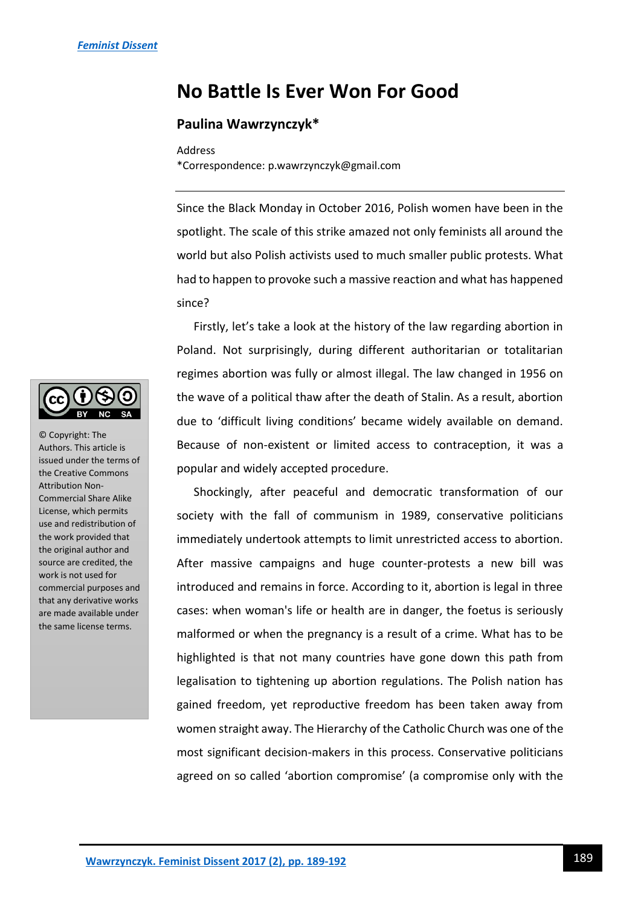## **No Battle Is Ever Won For Good**

## **Paulina Wawrzynczyk\***

## Address

\*Correspondence: p.wawrzynczyk@gmail.com

Since the Black Monday in October 2016, Polish women have been in the spotlight. The scale of this strike amazed not only feminists all around the world but also Polish activists used to much smaller public protests. What had to happen to provoke such a massive reaction and what has happened since?

Firstly, let's take a look at the history of the law regarding abortion in Poland. Not surprisingly, during different authoritarian or totalitarian regimes abortion was fully or almost illegal. The law changed in 1956 on the wave of a political thaw after the death of Stalin. As a result, abortion due to 'difficult living conditions' became widely available on demand. Because of non-existent or limited access to contraception, it was a popular and widely accepted procedure.

Shockingly, after peaceful and democratic transformation of our society with the fall of communism in 1989, conservative politicians immediately undertook attempts to limit unrestricted access to abortion. After massive campaigns and huge counter-protests a new bill was introduced and remains in force. According to it, abortion is legal in three cases: when woman's life or health are in danger, the foetus is seriously malformed or when the pregnancy is a result of a crime. What has to be highlighted is that not many countries have gone down this path from legalisation to tightening up abortion regulations. The Polish nation has gained freedom, yet reproductive freedom has been taken away from women straight away. The Hierarchy of the Catholic Church was one of the most significant decision-makers in this process. Conservative politicians agreed on so called 'abortion compromise' (a compromise only with the



© Copyright: The Authors. This article is issued under the terms of the Creative Commons Attribution Non-Commercial Share Alike License, which permits use and redistribution of the work provided that the original author and source are credited, the work is not used for commercial purposes and that any derivative works are made available under the same license terms.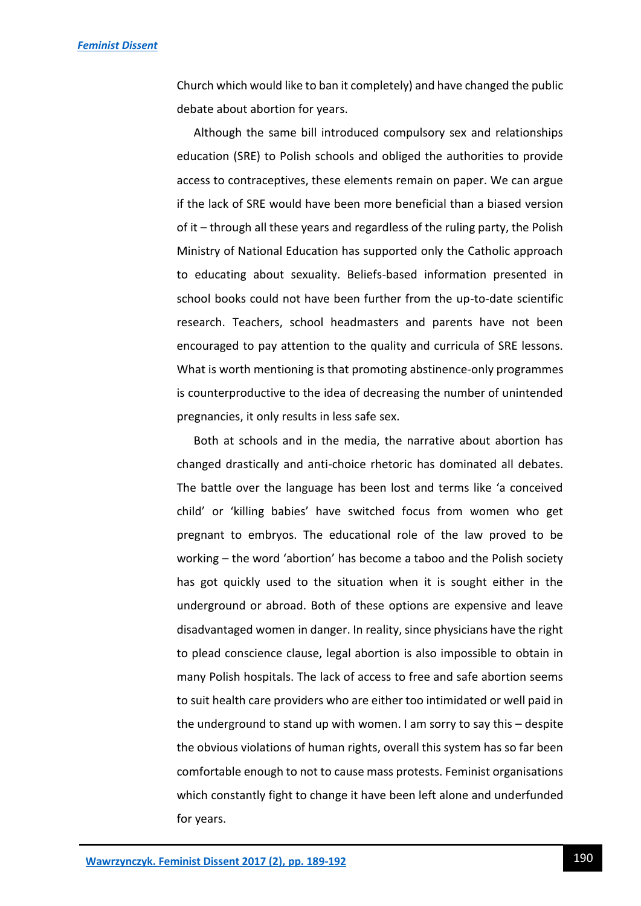Church which would like to ban it completely) and have changed the public debate about abortion for years.

Although the same bill introduced compulsory sex and relationships education (SRE) to Polish schools and obliged the authorities to provide access to contraceptives, these elements remain on paper. We can argue if the lack of SRE would have been more beneficial than a biased version of it – through all these years and regardless of the ruling party, the Polish Ministry of National Education has supported only the Catholic approach to educating about sexuality. Beliefs-based information presented in school books could not have been further from the up-to-date scientific research. Teachers, school headmasters and parents have not been encouraged to pay attention to the quality and curricula of SRE lessons. What is worth mentioning is that promoting abstinence-only programmes is counterproductive to the idea of decreasing the number of unintended pregnancies, it only results in less safe sex.

Both at schools and in the media, the narrative about abortion has changed drastically and anti-choice rhetoric has dominated all debates. The battle over the language has been lost and terms like 'a conceived child' or 'killing babies' have switched focus from women who get pregnant to embryos. The educational role of the law proved to be working – the word 'abortion' has become a taboo and the Polish society has got quickly used to the situation when it is sought either in the underground or abroad. Both of these options are expensive and leave disadvantaged women in danger. In reality, since physicians have the right to plead conscience clause, legal abortion is also impossible to obtain in many Polish hospitals. The lack of access to free and safe abortion seems to suit health care providers who are either too intimidated or well paid in the underground to stand up with women. I am sorry to say this – despite the obvious violations of human rights, overall this system has so far been comfortable enough to not to cause mass protests. Feminist organisations which constantly fight to change it have been left alone and underfunded for years.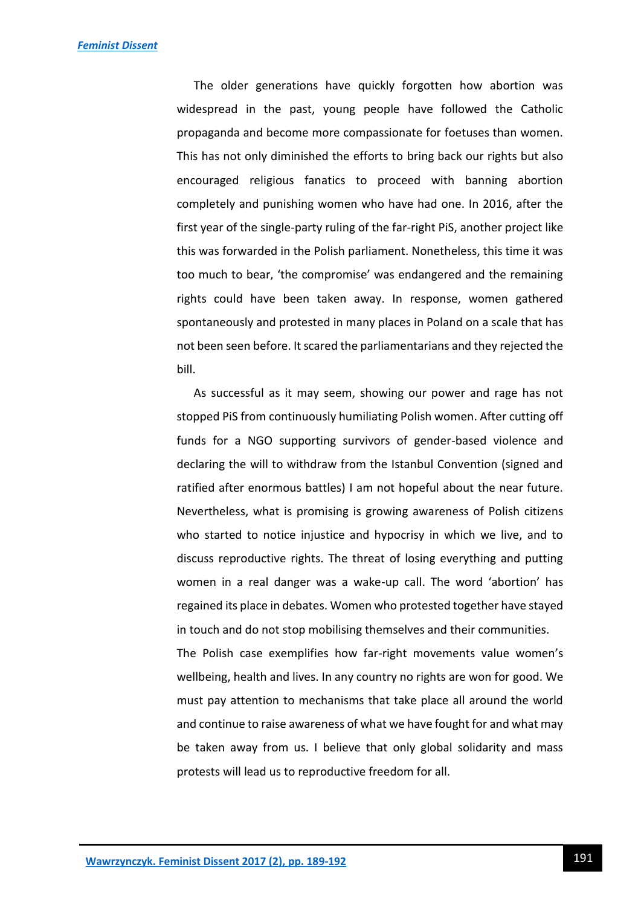The older generations have quickly forgotten how abortion was widespread in the past, young people have followed the Catholic propaganda and become more compassionate for foetuses than women. This has not only diminished the efforts to bring back our rights but also encouraged religious fanatics to proceed with banning abortion completely and punishing women who have had one. In 2016, after the first year of the single-party ruling of the far-right PiS, another project like this was forwarded in the Polish parliament. Nonetheless, this time it was too much to bear, 'the compromise' was endangered and the remaining rights could have been taken away. In response, women gathered spontaneously and protested in many places in Poland on a scale that has not been seen before. It scared the parliamentarians and they rejected the bill.

As successful as it may seem, showing our power and rage has not stopped PiS from continuously humiliating Polish women. After cutting off funds for a NGO supporting survivors of gender-based violence and declaring the will to withdraw from the Istanbul Convention (signed and ratified after enormous battles) I am not hopeful about the near future. Nevertheless, what is promising is growing awareness of Polish citizens who started to notice injustice and hypocrisy in which we live, and to discuss reproductive rights. The threat of losing everything and putting women in a real danger was a wake-up call. The word 'abortion' has regained its place in debates. Women who protested together have stayed in touch and do not stop mobilising themselves and their communities.

The Polish case exemplifies how far-right movements value women's wellbeing, health and lives. In any country no rights are won for good. We must pay attention to mechanisms that take place all around the world and continue to raise awareness of what we have fought for and what may be taken away from us. I believe that only global solidarity and mass protests will lead us to reproductive freedom for all.